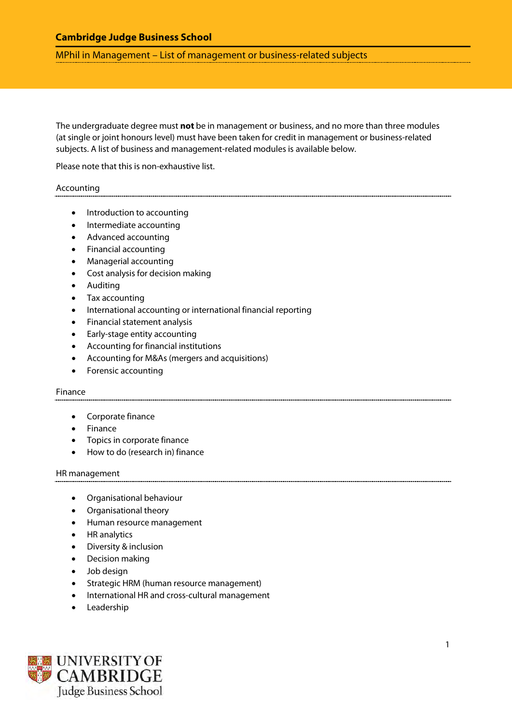# **Cambridge Judge Business School**

MPhil in Management – List of management or business-related subjects

The undergraduate degree must **not** be in management or business, and no more than three modules (at single or joint honours level) must have been taken for credit in management or business-related subjects. A list of business and management-related modules is available below.

Please note that this is non-exhaustive list.

## Accounting

- Introduction to accounting
- Intermediate accounting
- Advanced accounting
- Financial accounting
- Managerial accounting
- Cost analysis for decision making
- Auditing
- Tax accounting
- International accounting or international financial reporting
- Financial statement analysis
- Early-stage entity accounting
- Accounting for financial institutions
- Accounting for M&As (mergers and acquisitions)
- Forensic accounting

#### Finance

- Corporate finance
- Finance
- Topics in corporate finance
- How to do (research in) finance

#### HR management

- Organisational behaviour
- Organisational theory
- Human resource management
- HR analytics
- Diversity & inclusion
- Decision making
- Job design
- Strategic HRM (human resource management)
- International HR and cross-cultural management
- **Leadership**